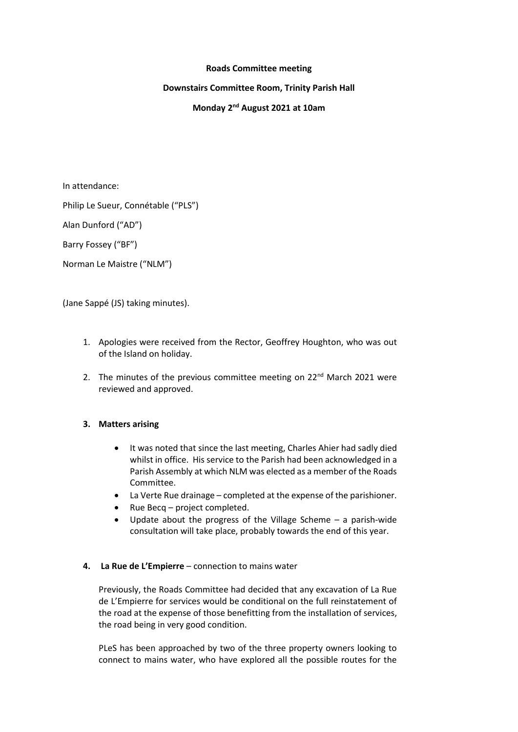## **Roads Committee meeting**

## **Downstairs Committee Room, Trinity Parish Hall**

# **Monday 2 nd August 2021 at 10am**

In attendance:

Philip Le Sueur, Connétable ("PLS")

Alan Dunford ("AD")

Barry Fossey ("BF")

Norman Le Maistre ("NLM")

(Jane Sappé (JS) taking minutes).

- 1. Apologies were received from the Rector, Geoffrey Houghton, who was out of the Island on holiday.
- 2. The minutes of the previous committee meeting on  $22<sup>nd</sup>$  March 2021 were reviewed and approved.

#### **3. Matters arising**

- It was noted that since the last meeting, Charles Ahier had sadly died whilst in office. His service to the Parish had been acknowledged in a Parish Assembly at which NLM was elected as a member of the Roads Committee.
- La Verte Rue drainage completed at the expense of the parishioner.
- Rue Becq project completed.
- Update about the progress of the Village Scheme  $-$  a parish-wide consultation will take place, probably towards the end of this year.

#### **4. La Rue de L'Empierre** – connection to mains water

Previously, the Roads Committee had decided that any excavation of La Rue de L'Empierre for services would be conditional on the full reinstatement of the road at the expense of those benefitting from the installation of services, the road being in very good condition.

PLeS has been approached by two of the three property owners looking to connect to mains water, who have explored all the possible routes for the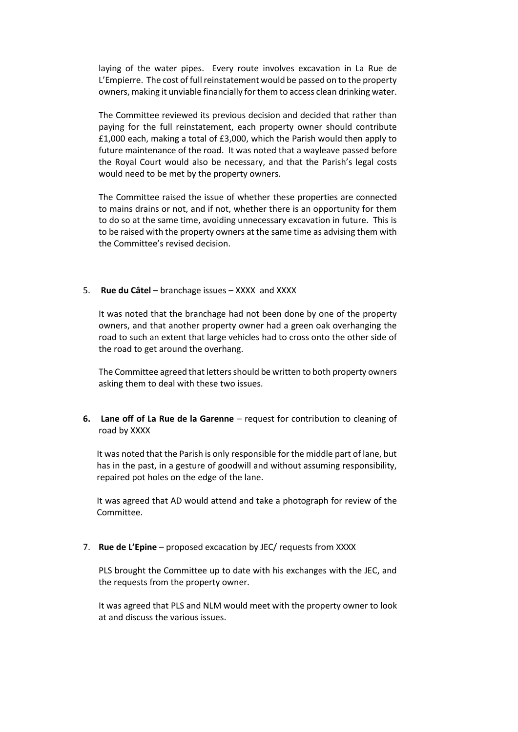laying of the water pipes. Every route involves excavation in La Rue de L'Empierre. The cost of full reinstatement would be passed on to the property owners, making it unviable financially for them to access clean drinking water.

The Committee reviewed its previous decision and decided that rather than paying for the full reinstatement, each property owner should contribute £1,000 each, making a total of £3,000, which the Parish would then apply to future maintenance of the road. It was noted that a wayleave passed before the Royal Court would also be necessary, and that the Parish's legal costs would need to be met by the property owners.

The Committee raised the issue of whether these properties are connected to mains drains or not, and if not, whether there is an opportunity for them to do so at the same time, avoiding unnecessary excavation in future. This is to be raised with the property owners at the same time as advising them with the Committee's revised decision.

## 5. **Rue du Câtel** – branchage issues – XXXX and XXXX

It was noted that the branchage had not been done by one of the property owners, and that another property owner had a green oak overhanging the road to such an extent that large vehicles had to cross onto the other side of the road to get around the overhang.

The Committee agreed that letters should be written to both property owners asking them to deal with these two issues.

**6. Lane off of La Rue de la Garenne** – request for contribution to cleaning of road by XXXX

It was noted that the Parish is only responsible for the middle part of lane, but has in the past, in a gesture of goodwill and without assuming responsibility, repaired pot holes on the edge of the lane.

It was agreed that AD would attend and take a photograph for review of the Committee.

7. **Rue de L'Epine** – proposed excacation by JEC/ requests from XXXX

PLS brought the Committee up to date with his exchanges with the JEC, and the requests from the property owner.

It was agreed that PLS and NLM would meet with the property owner to look at and discuss the various issues.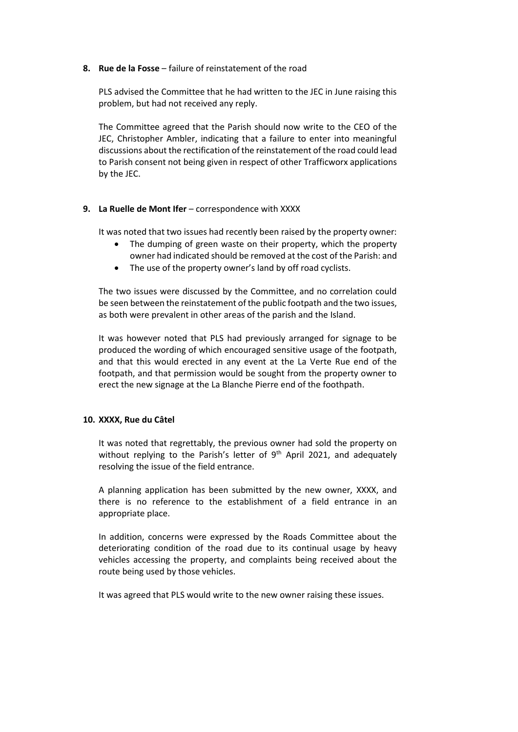## **8. Rue de la Fosse** – failure of reinstatement of the road

PLS advised the Committee that he had written to the JEC in June raising this problem, but had not received any reply.

The Committee agreed that the Parish should now write to the CEO of the JEC, Christopher Ambler, indicating that a failure to enter into meaningful discussions about the rectification of the reinstatement of the road could lead to Parish consent not being given in respect of other Trafficworx applications by the JEC.

## **9. La Ruelle de Mont Ifer** – correspondence with XXXX

It was noted that two issues had recently been raised by the property owner:

- The dumping of green waste on their property, which the property owner had indicated should be removed at the cost of the Parish: and
- The use of the property owner's land by off road cyclists.

The two issues were discussed by the Committee, and no correlation could be seen between the reinstatement of the public footpath and the two issues, as both were prevalent in other areas of the parish and the Island.

It was however noted that PLS had previously arranged for signage to be produced the wording of which encouraged sensitive usage of the footpath, and that this would erected in any event at the La Verte Rue end of the footpath, and that permission would be sought from the property owner to erect the new signage at the La Blanche Pierre end of the foothpath.

## **10. XXXX, Rue du Câtel**

It was noted that regrettably, the previous owner had sold the property on without replying to the Parish's letter of 9<sup>th</sup> April 2021, and adequately resolving the issue of the field entrance.

A planning application has been submitted by the new owner, XXXX, and there is no reference to the establishment of a field entrance in an appropriate place.

In addition, concerns were expressed by the Roads Committee about the deteriorating condition of the road due to its continual usage by heavy vehicles accessing the property, and complaints being received about the route being used by those vehicles.

It was agreed that PLS would write to the new owner raising these issues.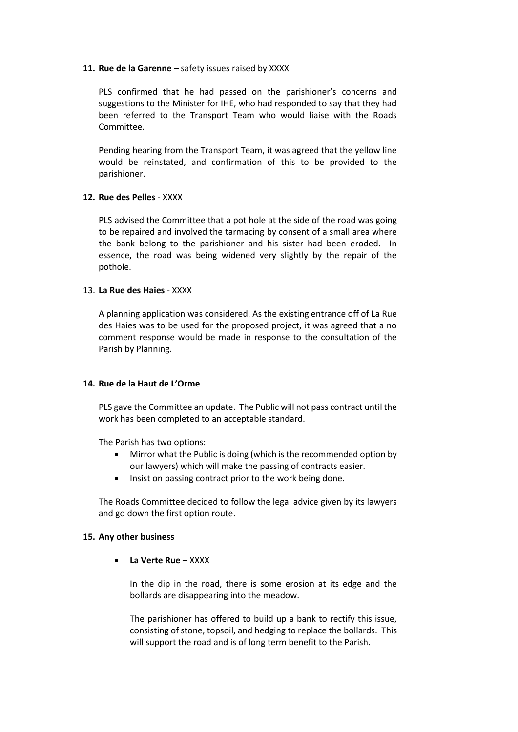## **11. Rue de la Garenne** – safety issues raised by XXXX

PLS confirmed that he had passed on the parishioner's concerns and suggestions to the Minister for IHE, who had responded to say that they had been referred to the Transport Team who would liaise with the Roads Committee.

Pending hearing from the Transport Team, it was agreed that the yellow line would be reinstated, and confirmation of this to be provided to the parishioner.

## **12. Rue des Pelles** - XXXX

PLS advised the Committee that a pot hole at the side of the road was going to be repaired and involved the tarmacing by consent of a small area where the bank belong to the parishioner and his sister had been eroded. In essence, the road was being widened very slightly by the repair of the pothole.

## 13. **La Rue des Haies** - XXXX

A planning application was considered. As the existing entrance off of La Rue des Haies was to be used for the proposed project, it was agreed that a no comment response would be made in response to the consultation of the Parish by Planning.

#### **14. Rue de la Haut de L'Orme**

PLS gave the Committee an update. The Public will not pass contract until the work has been completed to an acceptable standard.

The Parish has two options:

- Mirror what the Public is doing (which is the recommended option by our lawyers) which will make the passing of contracts easier.
- Insist on passing contract prior to the work being done.

The Roads Committee decided to follow the legal advice given by its lawyers and go down the first option route.

#### **15. Any other business**

• **La Verte Rue** – XXXX

In the dip in the road, there is some erosion at its edge and the bollards are disappearing into the meadow.

The parishioner has offered to build up a bank to rectify this issue, consisting of stone, topsoil, and hedging to replace the bollards. This will support the road and is of long term benefit to the Parish.